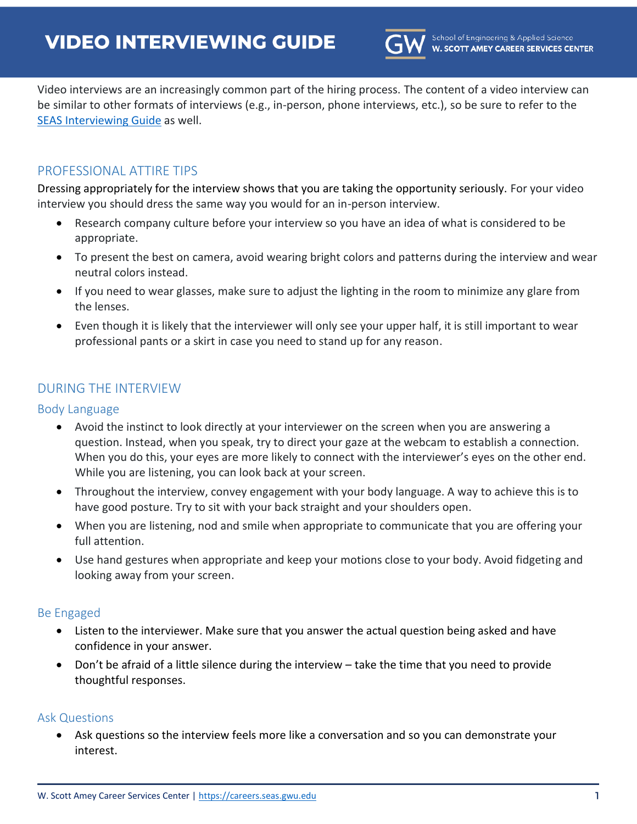

Video interviews are an increasingly common part of the hiring process. The content of a video interview can be similar to other formats of interviews (e.g., in-person, phone interviews, etc.), so be sure to refer to the [SEAS Interviewing Guide](https://careers.seas.gwu.edu/resources/seas-interviewing-guide/) as well.

# PROFESSIONAL ATTIRE TIPS

Dressing appropriately for the interview shows that you are taking the opportunity seriously. For your video interview you should dress the same way you would for an in-person interview.

- Research company culture before your interview so you have an idea of what is considered to be appropriate.
- To present the best on camera, avoid wearing bright colors and patterns during the interview and wear neutral colors instead.
- If you need to wear glasses, make sure to adjust the lighting in the room to minimize any glare from the lenses.
- Even though it is likely that the interviewer will only see your upper half, it is still important to wear professional pants or a skirt in case you need to stand up for any reason.

# DURING THE INTERVIEW

### Body Language

- Avoid the instinct to look directly at your interviewer on the screen when you are answering a question. Instead, when you speak, try to direct your gaze at the webcam to establish a connection. When you do this, your eyes are more likely to connect with the interviewer's eyes on the other end. While you are listening, you can look back at your screen.
- Throughout the interview, convey engagement with your body language. A way to achieve this is to have good posture. Try to sit with your back straight and your shoulders open.
- When you are listening, nod and smile when appropriate to communicate that you are offering your full attention.
- Use hand gestures when appropriate and keep your motions close to your body. Avoid fidgeting and looking away from your screen.

#### Be Engaged

- Listen to the interviewer. Make sure that you answer the actual question being asked and have confidence in your answer.
- Don't be afraid of a little silence during the interview take the time that you need to provide thoughtful responses.

#### Ask Questions

 Ask questions so the interview feels more like a conversation and so you can demonstrate your interest.